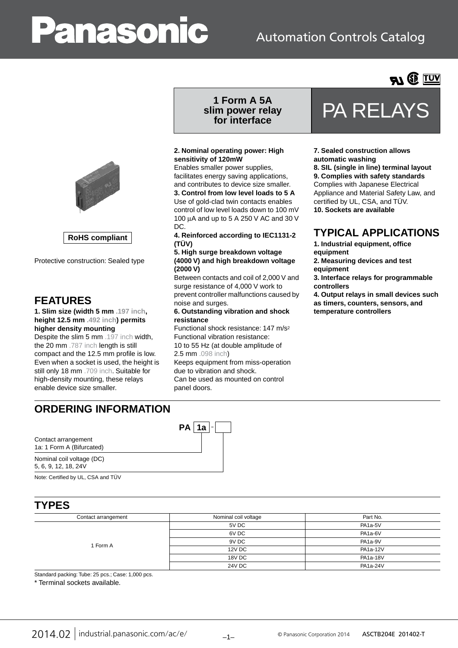# anasonic

## Automation Controls Catalog







Protective construction: Sealed type

#### **FEATURES**

**1. Slim size (width 5 mm .197 inch, height 12.5 mm .492 inch) permits higher density mounting**

Despite the slim 5 mm .197 inch width, the 20 mm .787 inch length is still compact and the 12.5 mm profile is low. Even when a socket is used, the height is still only 18 mm .709 inch. Suitable for high-density mounting, these relays enable device size smaller.

## **1 Form A 5A slim power relay**

#### **2. Nominal operating power: High sensitivity of 120mW**

Enables smaller power supplies, facilitates energy saving applications, and contributes to device size smaller.

**3. Control from low level loads to 5 A** Use of gold-clad twin contacts enables control of low level loads down to 100 mV 100 µA and up to 5 A 250 V AC and 30 V DC.

**4. Reinforced according to IEC1131-2 (TÜV)**

#### **5. High surge breakdown voltage (4000 V) and high breakdown voltage (2000 V)**

Between contacts and coil of 2,000 V and surge resistance of 4,000 V work to prevent controller malfunctions caused by noise and surges.

#### **6. Outstanding vibration and shock resistance**

Functional shock resistance: 147 m/s2 Functional vibration resistance:

#### 10 to 55 Hz (at double amplitude of 2.5 mm .098 inch)

 $PA | 1a |$ 

Keeps equipment from miss-operation due to vibration and shock. Can be used as mounted on control

panel doors.

## **For other case FRA RELAYS**<br>for interface

#### **7. Sealed construction allows automatic washing**

**8. SIL (single in line) terminal layout 9. Complies with safety standards** Complies with Japanese Electrical Appliance and Material Safety Law, and certified by UL, CSA, and TÜV. **10. Sockets are available**

#### **TYPICAL APPLICATIONS**

**1. Industrial equipment, office** 

**equipment**

**2. Measuring devices and test equipment**

**3. Interface relays for programmable controllers**

**4. Output relays in small devices such as timers, counters, sensors, and temperature controllers**

## **ORDERING INFORMATION**

Contact arrangement 1a: 1 Form A (Bifurcated)

Nominal coil voltage (DC) 5, 6, 9, 12, 18, 24V

**TYPES**

Note: Certified by UL, CSA a

| :)                             |  |
|--------------------------------|--|
| and $T\ddot{\text{U}}\text{V}$ |  |

| I TEJ               |                      |          |  |
|---------------------|----------------------|----------|--|
| Contact arrangement | Nominal coil voltage | Part No. |  |
| 1 Form A            | 5V DC                | PA1a-5V  |  |
|                     | 6V DC                | PA1a-6V  |  |
|                     | 9V DC                | PA1a-9V  |  |
|                     | 12V DC               | PA1a-12V |  |
|                     | 18V DC               | PA1a-18V |  |
|                     | 24V DC               | PA1a-24V |  |

Standard packing: Tube: 25 pcs.; Case: 1,000 pcs.

\* Terminal sockets available.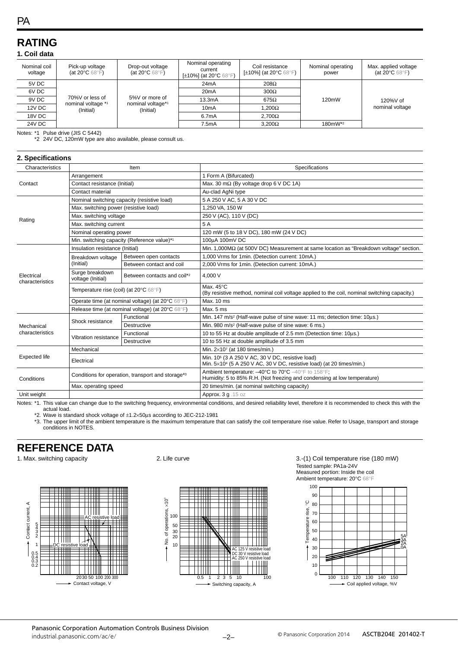## **RATING**

#### **1. Coil data**

| Nominal coil<br>voltage | Pick-up voltage<br>(at 20 $\mathrm{^{\circ}C}$ 68 $\mathrm{^{\circ}F}$ ) | Drop-out voltage<br>(at 20 $\mathrm{^{\circ}C}$ 68 $\mathrm{^{\circ}F}$ ) | Nominal operating<br>current<br>[ $\pm$ 10%] (at 20 $\degree$ C 68 $\degree$ F) | Coil resistance<br>[±10%] (at 20°C 68°F) | Nominal operating<br>power | Max. applied voltage<br>(at 20 $\mathrm{^{\circ}C}$ 68 $\mathrm{^{\circ}F}$ ) |
|-------------------------|--------------------------------------------------------------------------|---------------------------------------------------------------------------|---------------------------------------------------------------------------------|------------------------------------------|----------------------------|-------------------------------------------------------------------------------|
| 5V DC                   |                                                                          | 24mA                                                                      | $208\Omega$                                                                     |                                          |                            |                                                                               |
| 6V DC                   |                                                                          |                                                                           | 20 <sub>m</sub> A                                                               | $300\Omega$                              |                            |                                                                               |
| 9V DC                   | 70%V or less of<br>nominal voltage *1                                    | 5%V or more of<br>nominal voltage*1<br>(Initial)                          | 13.3mA                                                                          | $675\Omega$                              | 120mW                      | $120\%$ V of                                                                  |
| 12V DC                  | (Initial)                                                                |                                                                           | 10 <sub>m</sub> A                                                               | 1,200Ω                                   |                            | nominal voltage                                                               |
| 18V DC                  |                                                                          | 6.7mA                                                                     | $2.700\Omega$                                                                   |                                          |                            |                                                                               |
| 24V DC                  |                                                                          |                                                                           | 7.5mA                                                                           | $3.200\Omega$                            | 180mW*2                    |                                                                               |

Notes: \*1 Pulse drive (JIS C 5442)

\*2 24V DC, 120mW type are also available, please consult us.

| 2. Specifications             |                                                   |                                             |                                                                                                                                                                            |  |  |
|-------------------------------|---------------------------------------------------|---------------------------------------------|----------------------------------------------------------------------------------------------------------------------------------------------------------------------------|--|--|
| Characteristics               | Item                                              |                                             | Specifications                                                                                                                                                             |  |  |
|                               | Arrangement                                       |                                             | 1 Form A (Bifurcated)                                                                                                                                                      |  |  |
| Contact                       | Contact resistance (Initial)                      |                                             | Max. 30 m $\Omega$ (By voltage drop 6 V DC 1A)                                                                                                                             |  |  |
|                               | Contact material                                  |                                             | Au-clad AgNi type                                                                                                                                                          |  |  |
| Rating                        |                                                   | Nominal switching capacity (resistive load) | 5 A 250 V AC, 5 A 30 V DC                                                                                                                                                  |  |  |
|                               | Max. switching power (resistive load)             |                                             | 1,250 VA, 150 W                                                                                                                                                            |  |  |
|                               | Max. switching voltage                            |                                             | 250 V (AC), 110 V (DC)                                                                                                                                                     |  |  |
|                               | Max. switching current                            |                                             | 5 A                                                                                                                                                                        |  |  |
|                               | Nominal operating power                           |                                             | 120 mW (5 to 18 V DC), 180 mW (24 V DC)                                                                                                                                    |  |  |
|                               |                                                   | Min. switching capacity (Reference value)*1 | 100µA 100mV DC                                                                                                                                                             |  |  |
|                               | Insulation resistance (Initial)                   |                                             | Min. 1,000MΩ (at 500V DC) Measurement at same location as "Breakdown voltage" section.                                                                                     |  |  |
|                               | Breakdown voltage                                 | Between open contacts                       | 1,000 Vrms for 1min. (Detection current: 10mA.)                                                                                                                            |  |  |
|                               | (Initial)                                         | Between contact and coil                    | 2,000 Vrms for 1min. (Detection current: 10mA.)                                                                                                                            |  |  |
| Electrical<br>characteristics | Surge breakdown<br>voltage (Initial)              | Between contacts and coil*2                 | 4.000 V                                                                                                                                                                    |  |  |
|                               | Temperature rise (coil) (at 20°C 68°F)            |                                             | Max. 45°C<br>(By resistive method, nominal coil voltage applied to the coil, nominal switching capacity.)                                                                  |  |  |
|                               | Operate time (at nominal voltage) (at 20°C 68°F)  |                                             | Max. 10 ms                                                                                                                                                                 |  |  |
|                               | Release time (at nominal voltage) (at 20°C 68°F)  |                                             | Max, 5 ms                                                                                                                                                                  |  |  |
|                               |                                                   | Functional                                  | Min. 147 m/s <sup>2</sup> (Half-wave pulse of sine wave: 11 ms; detection time: 10us.)                                                                                     |  |  |
| Mechanical                    | Shock resistance                                  | <b>Destructive</b>                          | Min. 980 m/s <sup>2</sup> (Half-wave pulse of sine wave: 6 ms.)                                                                                                            |  |  |
| characteristics               | Vibration resistance                              | Functional                                  | 10 to 55 Hz at double amplitude of 2.5 mm (Detection time: 10us.)                                                                                                          |  |  |
|                               |                                                   | <b>Destructive</b>                          | 10 to 55 Hz at double amplitude of 3.5 mm                                                                                                                                  |  |  |
|                               | Mechanical                                        |                                             | Min. 2×107 (at 180 times/min.)                                                                                                                                             |  |  |
| <b>Expected life</b>          | Electrical                                        |                                             | Min. 10 <sup>5</sup> (3 A 250 V AC, 30 V DC, resistive load)<br>Min. $5\times10^4$ (5 A 250 V AC, 30 V DC, resistive load) (at 20 times/min.)                              |  |  |
| Conditions                    | Conditions for operation, transport and storage*3 |                                             | Ambient temperature: -40°C to 70°C -40°F to 158°F;<br>Humidity: 5 to 85% R.H. (Not freezing and condensing at low temperature)                                             |  |  |
|                               | Max. operating speed                              |                                             | 20 times/min. (at nominal switching capacity)                                                                                                                              |  |  |
| Unit weight                   |                                                   |                                             | Approx. 3 g . 15 oz                                                                                                                                                        |  |  |
|                               |                                                   |                                             | Notes: *4. This value and aboves due to the suitables from post- andreomental conditions, and decised reliability level therefore it is recommended to check this with the |  |  |

\*1. This value can change due to the switching frequency, environmental conditions, and desired reliability level, therefore it is recommended to check this with the actual load.

\*2. Wave is standard shock voltage of ±1.2×50µs according to JEC-212-1981<br>\*3. The upper limit of the ambient temperature is the maximum temperature that can satisfy the coil temperature rise value. Refer to Usage, transpor conditions in NOTES.

#### **REFERENCE DATA**





1. Max. switching capacity **2.** Life curve **2.** Life curve **3.**-(1) Coil temperature rise (180 mW) Tested sample: PA1a-24V Measured portion: Inside the coil Ambient temperature: 20°C 68°F

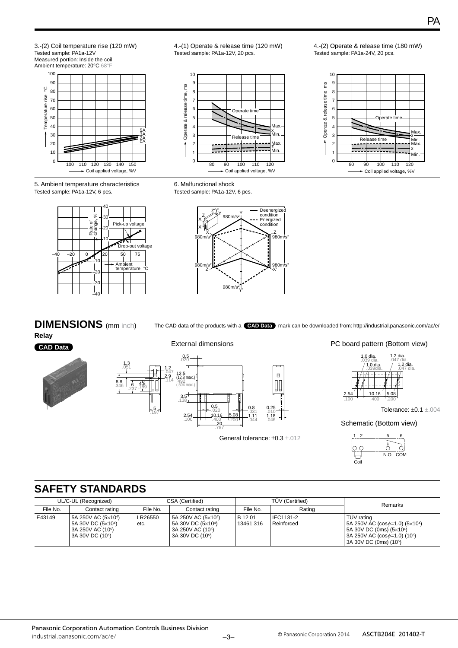3.-(2) Coil temperature rise (120 mW) Tested sample: PA1a-12V Measured portion: Inside the coil Ambient temperature: 20°C 68°F 100 90 ပ္စ Temperature rise, °C 80 70 60 50 40 5A  $\overline{\phantom{a}}$ 30 3A 2A 0A  $2<sup>c</sup>$ 10  $\overline{0}$ 100 110 120 130 140 150 Coil applied voltage, %V

4.-(1) Operate & release time (120 mW) Tested sample: PA1a-12V, 20 pcs.



4.-(2) Operate & release time (180 mW) Tested sample: PA1a-24V, 20 pcs.



5. Ambient temperature characteristics Tested sample: PA1a-12V, 6 pcs.



6. Malfunctional shock Tested sample: PA1a-12V, 6 pcs.



## **DIMENSIONS** (mm inch)

**Relay CAD Data**





General tolerance: ±0.3 ±.012

The CAD data of the products with a **CAD Data** mark can be downloaded from: http://industrial.panasonic.com/ac/e/

PC board pattern (Bottom view)



Tolerance: ±0.1 ±.004

Schematic (Bottom view)



### **SAFETY STANDARDS**

|          | UL/C-UL (Recognized)                                                                                                  |                 | CSA (Certified)<br>TUV (Certified)                                                                                    |                      | <b>Remarks</b>          |                                                                                                                                                                                      |
|----------|-----------------------------------------------------------------------------------------------------------------------|-----------------|-----------------------------------------------------------------------------------------------------------------------|----------------------|-------------------------|--------------------------------------------------------------------------------------------------------------------------------------------------------------------------------------|
| File No. | Contact rating                                                                                                        | File No.        | Contact rating                                                                                                        | File No.             | Rating                  |                                                                                                                                                                                      |
| E43149   | 5A 250V AC (5×10 <sup>4</sup> )<br>5A 30V DC (5×104)<br>3A 250V AC (10 <sup>5</sup> )<br>3A 30V DC (10 <sup>5</sup> ) | LR26550<br>etc. | 5A 250V AC (5×10 <sup>4</sup> )<br>5A 30V DC (5×104)<br>3A 250V AC (10 <sup>5</sup> )<br>3A 30V DC (10 <sup>5</sup> ) | B 12 01<br>13461 316 | IEC1131-2<br>Reinforced | TÜV rating<br>5A 250V AC ( $cos\phi=1.0$ ) ( $5\times10^4$ )<br>5A 30V DC (0ms) (5×10 <sup>4</sup> )<br>3A 250V AC ( $\cos \phi = 1.0$ ) (10 <sup>5</sup> )<br>3A 30V DC (0ms) (105) |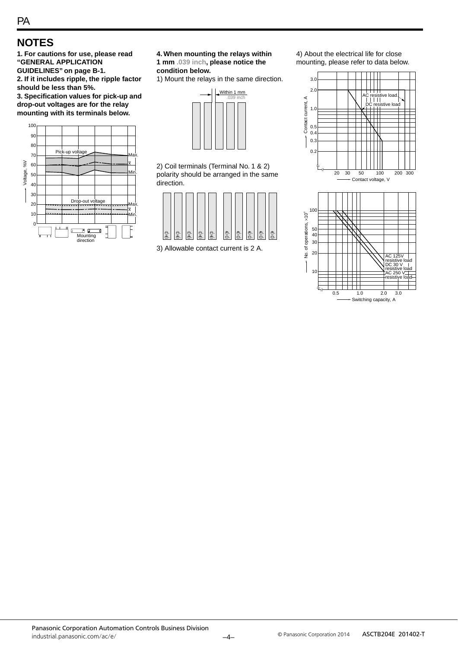### **NOTES**

**1. For cautions for use, please read "GENERAL APPLICATION GUIDELINES" on page B-1. 2. If it includes ripple, the ripple factor should be less than 5%.**

**3. Specification values for pick-up and drop-out voltages are for the relay mounting with its terminals below.**



**4. When mounting the relays within 1 mm .039 inch, please notice the condition below.**

1) Mount the relays in the same direction.



2) Coil terminals (Terminal No. 1 & 2) polarity should be arranged in the same direction.



3) Allowable contact current is 2 A.

4) About the electrical life for close mounting, please refer to data below.